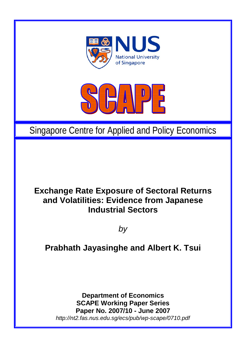



# Singapore Centre for Applied and Policy Economics

# **Exchange Rate Exposure of Sectoral Returns and Volatilities: Evidence from Japanese Industrial Sectors**

*by* 

# **Prabhath Jayasinghe and Albert K. Tsui**

**Department of Economics SCAPE Working Paper Series Paper No. 2007/10 - June 2007**  *http://nt2.fas.nus.edu.sg/ecs/pub/wp-scape/0710.pdf*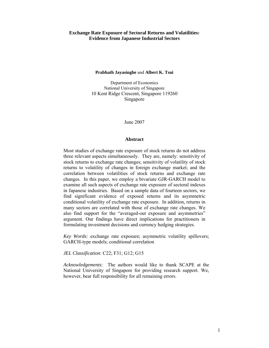#### **Exchange Rate Exposure of Sectoral Returns and Volatilities: Evidence from Japanese Industrial Sectors**

#### **Prabhath Jayasinghe** and **Albert K. Tsui**

Department of Economics National University of Singapore 10 Kent Ridge Crescent, Singapore 119260 Singapore

June 2007

#### **Abstract**

Most studies of exchange rate exposure of stock returns do not address three relevant aspects simultaneously. They are, namely: sensitivity of stock returns to exchange rate changes; sensitivity of volatility of stock returns to volatility of changes in foreign exchange market; and the correlation between volatilities of stock returns and exchange rate changes. In this paper, we employ a bivariate GJR-GARCH model to examine all such aspects of exchange rate exposure of sectoral indexes in Japanese industries. Based on a sample data of fourteen sectors, we find significant evidence of exposed returns and its asymmetric conditional volatility of exchange rate exposure. In addition, returns in many sectors are correlated with those of exchange rate changes. We also find support for the "averaged-out exposure and asymmetries" argument. Our findings have direct implications for practitioners in formulating investment decisions and currency hedging strategies.

*Key Words:* exchange rate exposure; asymmetric volatility spillovers; GARCH-type models; conditional correlation

*JEL Classification*: C22; F31; G12; G15

*Acknowledgements*: The authors would like to thank SCAPE at the National University of Singapore for providing research support. We, however, bear full responsibility for all remaining errors.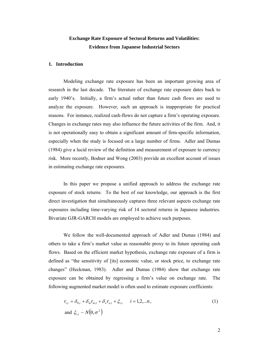### **Exchange Rate Exposure of Sectoral Returns and Volatilities: Evidence from Japanese Industrial Sectors**

#### **1. Introduction**

Modeling exchange rate exposure has been an important growing area of research in the last decade. The literature of exchange rate exposure dates back to early 1940's. Initially, a firm's actual rather than future cash flows are used to analyze the exposure. However, such an approach is inappropriate for practical reasons. For instance, realized cash-flows do not capture a firm's operating exposure. Changes in exchange rates may also influence the future activities of the firm. And, it is not operationally easy to obtain a significant amount of firm-specific information, especially when the study is focused on a large number of firms. Adler and Dumas (1984) give a lucid review of the definition and measurement of exposure to currency risk. More recently, Bodner and Wong (2003) provide an excellent account of issues in estimating exchange rate exposures.

In this paper we propose a unified approach to address the exchange rate exposure of stock returns. To the best of our knowledge, our approach is the first direct investigation that simultaneously captures three relevant aspects exchange rate exposures including time-varying risk of 14 sectoral returns in Japanese industries. Bivariate GJR-GARCH models are employed to achieve such purposes.

We follow the well-documented approach of Adler and Dumas (1984) and others to take a firm's market value as reasonable proxy to its future operating cash flows. Based on the efficient market hypothesis, exchange rate exposure of a firm is defined as "the sensitivity of [its] economic value, or stock price, to exchange rate changes" (Heckman, 1983). Adler and Dumas (1984) show that exchange rate exposure can be obtained by regressing a firm's value on exchange rate. The following augmented market model is often used to estimate exposure coefficients:

$$
r_{i,t} = \delta_{0,i} + \delta_m r_{m,t} + \delta_x r_{x,t} + \xi_{i,t} \qquad i = 1,2,...n,
$$
  
and 
$$
\xi_{i,t} \sim N(0,\sigma^2)
$$
 (1)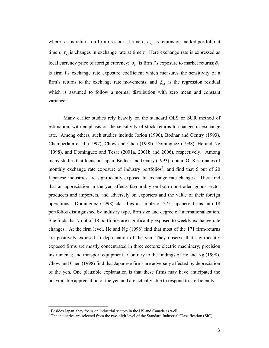where  $r_{i,t}$  is returns on firm *i*'s stock at time *t*;  $r_{m,t}$  is returns on market portfolio at time  $t$ ;  $r_{x,t}$  is changes in exchange rate at time  $t$ . Here exchange rate is expressed as local currency price of foreign currency;  $\delta_m$  is firm *i*'s exposure to market returns;  $\delta_x$ is firm *i*'s exchange rate exposure coefficient which measures the sensitivity of a firm's returns to the exchange rate movements; and  $\xi_{i,t}$  is the regression residual which is assumed to follow a normal distribution with zero mean and constant variance.

Many earlier studies rely heavily on the standard OLS or SUR method of estimation, with emphasis on the sensitivity of stock returns to changes in exchange rate. Among others, such studies include Jorion (1990), Bodnar and Gentry (1993), Chamberlain et al. (1997), Chow and Chen (1998), Dominguez (1998), He and Ng (1998), and Dominguez and Tesar (2001a, 2001b and 2006), respectively. Among many studies that focus on Japan, Bodnar and Gentry  $(1993)^1$  obtain OLS estimates of monthly exchange rate exposure of industry portfolios<sup>2</sup>, and find that 5 out of 20 Japanese industries are significantly exposed to exchange rate changes. They find that an appreciation in the yen affects favourably on both non-traded goods sector producers and importers, and adversely on exporters and the value of their foreign operations. Dominguez (1998) classifies a sample of 275 Japanese firms into 18 portfolios distinguished by industry type, firm size and degree of internationalization. She finds that 7 out of 18 portfolios are significantly exposed to weekly exchange rate changes. At the firm level, He and Ng (1998) find that most of the 171 firm-returns are positively exposed to depreciation of the yen. They observe that significantly exposed firms are mostly concentrated in three sectors: electric machinery; precision instruments; and transport equipment. Contrary to the findings of He and Ng (1998), Chow and Chen (1998) find that Japanese firms are adversely affected by depreciation of the yen. One plausible explanation is that these firms may have anticipated the unavoidable appreciation of the yen and are actually able to respond to it efficiently.

<sup>&</sup>lt;sup>1</sup> Besides Japan, they focus on industrial sectors in the US and Canada as well.

 $2$  The industries are selected from the two-digit level of the Standard Industrial Classification (SIC).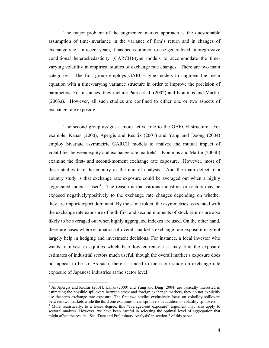The major problem of the augmented market approach is the questionable assumption of time-invariance in the variance of firm's return and in changes of exchange rate. In recent years, it has been common to use generalized autoregressive conditional heteroskedasticity (GARCH)-type models to accommodate the timevarying volatility in empirical studies of exchange rate changes. There are two main categories. The first group employs GARCH-type models to augment the mean equation with a time-varying variance structure in order to improve the precision of parameters. For instances, they include Patro et al. (2002) and Koutmos and Martin, (2003a). However, all such studies are confined to either one or two aspects of exchange rate exposure.

The second group assigns a more active role to the GARCH structure. For example, Kanas (2000), Apergis and Resitiz (2001) and Yang and Doong (2004) employ bivariate asymmetric GARCH models to analyze the mutual impact of volatilities between equity and exchange rate markets<sup>3</sup>. Koutmos and Martin (2003b) examine the first- and second-moment exchange rate exposure. However, most of these studies take the country as the unit of analysis. And the main defect of a country study is that exchange rate exposure could be averaged out when a highly aggregated index is used<sup>4</sup>. The reason is that various industries or sectors may be exposed negatively/positively to the exchange rate changes depending on whether they are import/export dominant. By the same token, the asymmetries associated with the exchange rate exposure of both first and second moments of stock returns are also likely to be averaged out when highly aggregated indexes are used. On the other hand, there are cases where estimation of overall market's exchange rate exposure may not largely help in hedging and investment decisions. For instance, a local investor who wants to invest in equities which bear low currency risk may find the exposure estimates of industrial sectors much useful, though the overall market's exposure does not appear to be so. As such, there is a need to focus our study on exchange rate exposure of Japanese industries at the sector level.

 $\overline{a}$ 

<sup>&</sup>lt;sup>3</sup> As Apergis and Rezitis (2001), Kanas (2000) and Yang and Ding (2004) are basically interested in estimating the possible spillovers between stock and foreign exchange markets, they do not explicitly use the term exchange rate exposure. The first two studies exclusively focus on volatility spillovers between two markets while the third one examines mean spillovers in addition to volatility spillovers.

<sup>&</sup>lt;sup>4</sup> More realistically, to a lesser degree, this "averaged-out exposure" argument may also apply to sectoral analysis. However, we have been careful in selecting the optimal level of aggregation that might affect the results. See 'Data and Preliminary Analysis' in section 2 of this paper.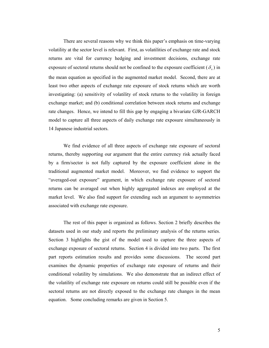There are several reasons why we think this paper's emphasis on time-varying volatility at the sector level is relevant. First, as volatilities of exchange rate and stock returns are vital for currency hedging and investment decisions, exchange rate exposure of sectoral returns should not be confined to the exposure coefficient  $(\delta_x)$  in the mean equation as specified in the augmented market model. Second, there are at least two other aspects of exchange rate exposure of stock returns which are worth investigating: (a) sensitivity of volatility of stock returns to the volatility in foreign exchange market; and (b) conditional correlation between stock returns and exchange rate changes. Hence, we intend to fill this gap by engaging a bivariate GJR-GARCH model to capture all three aspects of daily exchange rate exposure simultaneously in 14 Japanese industrial sectors.

We find evidence of all three aspects of exchange rate exposure of sectoral returns, thereby supporting our argument that the entire currency risk actually faced by a firm/sector is not fully captured by the exposure coefficient alone in the traditional augmented market model. Moreover, we find evidence to support the "averaged-out exposure" argument, in which exchange rate exposure of sectoral returns can be averaged out when highly aggregated indexes are employed at the market level. We also find support for extending such an argument to asymmetries associated with exchange rate exposure.

The rest of this paper is organized as follows. Section 2 briefly describes the datasets used in our study and reports the preliminary analysis of the returns series. Section 3 highlights the gist of the model used to capture the three aspects of exchange exposure of sectoral returns. Section 4 is divided into two parts. The first part reports estimation results and provides some discussions. The second part examines the dynamic properties of exchange rate exposure of returns and their conditional volatility by simulations. We also demonstrate that an indirect effect of the volatility of exchange rate exposure on returns could still be possible even if the sectoral returns are not directly exposed to the exchange rate changes in the mean equation. Some concluding remarks are given in Section 5.

5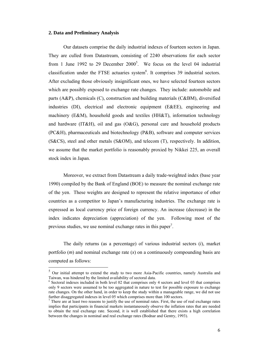#### **2. Data and Preliminary Analysis**

 $\overline{a}$ 

Our datasets comprise the daily industrial indexes of fourteen sectors in Japan. They are culled from Datastream, consisting of 2240 observations for each sector from 1 June 1992 to 29 December  $2000^5$ . We focus on the level 04 industrial classification under the FTSE actuaries system $<sup>6</sup>$ . It comprises 39 industrial sectors.</sup> After excluding those obviously insignificant ones, we have selected fourteen sectors which are possibly exposed to exchange rate changes. They include: automobile and parts  $(A\&P)$ , chemicals  $(C)$ , construction and building materials  $(C\&BM)$ , diversified industries (DI), electrical and electronic equipment (E&EE), engineering and machinery (E&M), household goods and textiles (HH&T), information technology and hardware  $(IT\&H)$ , oil and gas  $(O\&G)$ , personal care and household products (PC&H), pharmaceuticals and biotechnology (P&B), software and computer services (S&CS), steel and other metals (S&OM), and telecom (T), respectively. In addition, we assume that the market portfolio is reasonably proxied by Nikkei 225, an overall stock index in Japan.

Moreover, we extract from Datastream a daily trade-weighted index (base year 1990) compiled by the Bank of England (BOE) to measure the nominal exchange rate of the yen. These weights are designed to represent the relative importance of other countries as a competitor to Japan's manufacturing industries. The exchange rate is expressed as local currency price of foreign currency. An increase (decrease) in the index indicates depreciation (appreciation) of the yen. Following most of the previous studies, we use nominal exchange rates in this paper<sup>7</sup>.

The daily returns (as a percentage) of various industrial sectors (*i*), market portfolio (*m*) and nominal exchange rate (*x*) on a continuously compounding basis are computed as follows:

<sup>&</sup>lt;sup>5</sup> Our initial attempt to extend the study to two more Asia-Pacific countries, namely Australia and Taiwan, was hindered by the limited availability of sectoral data.

<sup>&</sup>lt;sup>6</sup> Sectoral indexes included in both level 02 that comprises only 4 sectors and level 03 that comprises only 9 sectors were assumed to be too aggregated in nature to test for possible exposure to exchange rate changes. On the other hand, in order to keep the study within a manageable range, we did not use further disaggregated indexes in level 05 which comprises more than 100 sectors.

<sup>&</sup>lt;sup>7</sup> There are at least two reasons to justify the use of nominal rates. First, the use of real exchange rates implies that participants in financial markets instantaneously observe the inflation rates that are needed to obtain the real exchange rate. Second, it is well established that there exists a high correlation between the changes in nominal and real exchange rates (Bodnar and Gentry, 1993).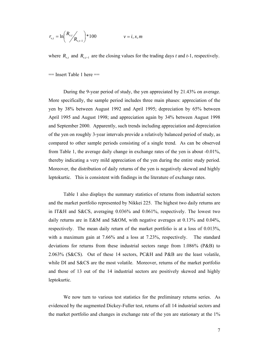$$
r_{v,t} = \ln \left( \frac{R_{v,t}}{R_{v,t-1}} \right) * 100 \qquad \qquad v = i, x, m
$$

where  $R_{v,t}$  and  $R_{v,t-1}$  are the closing values for the trading days *t* and *t*-1, respectively.

 $==$  Insert Table 1 here  $==$ 

During the 9-year period of study, the yen appreciated by 21.43% on average. More specifically, the sample period includes three main phases: appreciation of the yen by 38% between August 1992 and April 1995; depreciation by 65% between April 1995 and August 1998; and appreciation again by 34% between August 1998 and September 2000. Apparently, such trends including appreciation and depreciation of the yen on roughly 3-year intervals provide a relatively balanced period of study, as compared to other sample periods consisting of a single trend. As can be observed from Table 1, the average daily change in exchange rates of the yen is about -0.01%, thereby indicating a very mild appreciation of the yen during the entire study period. Moreover, the distribution of daily returns of the yen is negatively skewed and highly leptokurtic. This is consistent with findings in the literature of exchange rates.

Table 1 also displays the summary statistics of returns from industrial sectors and the market portfolio represented by Nikkei 225. The highest two daily returns are in IT&H and S&CS, averaging 0.036% and 0.061%, respectively. The lowest two daily returns are in E&M and S&OM, with negative averages at 0.13% and 0.04%, respectively. The mean daily return of the market portfolio is at a loss of 0.013%, with a maximum gain at 7.66% and a loss at 7.23%, respectively. The standard deviations for returns from these industrial sectors range from 1.086% (P&B) to 2.063% (S&CS). Out of these 14 sectors, PC&H and P&B are the least volatile, while DI and S&CS are the most volatile. Moreover, returns of the market portfolio and those of 13 out of the 14 industrial sectors are positively skewed and highly leptokurtic.

We now turn to various test statistics for the preliminary returns series. As evidenced by the augmented Dickey-Fuller test, returns of all 14 industrial sectors and the market portfolio and changes in exchange rate of the yen are stationary at the 1%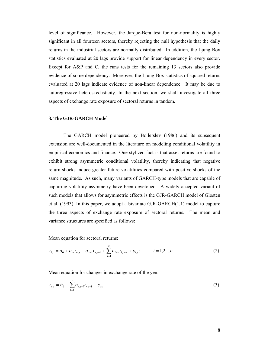level of significance. However, the Jarque-Bera test for non-normality is highly significant in all fourteen sectors, thereby rejecting the null hypothesis that the daily returns in the industrial sectors are normally distributed. In addition, the Ljung-Box statistics evaluated at 20 lags provide support for linear dependency in every sector. Except for A&P and C, the runs tests for the remaining 13 sectors also provide evidence of some dependency. Moreover, the Ljung-Box statistics of squared returns evaluated at 20 lags indicate evidence of non-linear dependence. It may be due to autoregressive heteroskedasticity. In the next section, we shall investigate all three aspects of exchange rate exposure of sectoral returns in tandem.

#### **3. The GJR-GARCH Model**

The GARCH model pioneered by Bollerslev (1986) and its subsequent extension are well-documented in the literature on modeling conditional volatility in empirical economics and finance. One stylized fact is that asset returns are found to exhibit strong asymmetric conditional volatility, thereby indicating that negative return shocks induce greater future volatilities compared with positive shocks of the same magnitude. As such, many variants of GARCH-type models that are capable of capturing volatility asymmetry have been developed. A widely accepted variant of such models that allows for asymmetric effects is the GJR-GARCH model of Glosten et al. (1993). In this paper, we adopt a bivariate GJR-GARCH(1,1) model to capture the three aspects of exchange rate exposure of sectoral returns. The mean and variance structures are specified as follows:

Mean equation for sectoral returns:

$$
r_{i,t} = a_0 + a_m r_{m,t} + a_{x-1} r_{x,t-1} + \sum_{k=1}^{q} a_{i-k} r_{i,t-k} + \varepsilon_{i,t}; \qquad i = 1, 2, \dots n
$$
 (2)

Mean equation for changes in exchange rate of the yen:

$$
r_{x,t} = b_0 + \sum_{l=1}^{s} b_{x,t-l} r_{x,t-l} + \varepsilon_{x,t}
$$
 (3)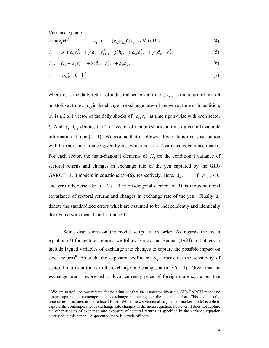Variance equations:

$$
\varepsilon_{t} = z_{t} H_{t}^{\frac{1}{2}} \qquad \qquad \varepsilon_{t} | I_{t-1} = (\varepsilon_{i,t} \varepsilon_{x,t})' | I_{t-1} \sim N(0, H_{t}) \qquad (4)
$$

$$
h_{i,t} = \omega_i + \alpha_i \varepsilon_{i,t-1}^2 + \gamma_i d_{i,t-1} \varepsilon_{i,t-1}^2 + \beta_i h_{i,t-1} + \alpha_{ix} \varepsilon_{x,t-1}^2 + \gamma_{ix} d_{x,t-1} \varepsilon_{x,t-1}^2
$$
 (5)

$$
h_{x,t} = \omega_x + \alpha_x \varepsilon_{x,t-1}^2 + \gamma_x d_{x,t-1} \varepsilon_{x,t-1}^2 + \beta_x h_{x,t-1}
$$
 (6)

$$
h_{ix,t} = \rho_{ix} (h_{i,t} h_{x,t})^{\frac{1}{2}} \tag{7}
$$

where  $r_{i,t}$  is the daily return of industrial sector *i* at time *t*;  $r_{m,t}$  is the return of market portfolio at time *t*;  $r_{x,t}$  is the change in exchange rates of the yen at time *t*. In addition,  $\epsilon$ <sub>*t*</sub> is a 2 x 1 vector of the daily shocks of  $\epsilon$ <sub>*i*, $\epsilon$ <sub>*x*,*t*</sub> at time *t* pair-wise with each sector</sub> *i*. And  $\varepsilon$ <sub>*t*</sub>  $| I_{t-1}$  denotes the 2 x 1 vector of random shocks at time *t* given all available information at time  $(t - 1)$ . We assume that it follows a bivariate normal distribution with 0 mean and variance given by  $H_t$ , which is a 2 x 2 variance-covariance matrix. For each sector, the main-diagonal elements of  $H<sub>t</sub>$  are the conditional variance of sectoral returns and changes in exchange rate of the yen captured by the GJR-GARCH (1,1) models in equations (5)-(6), respectively. Here,  $d_{u,t-1} = 1$  if  $\varepsilon_{u,t-1} < 0$ and zero otherwise, for  $u = i, x$ . The off-diagonal element of  $H_t$  is the conditional covariance of sectoral returns and changes in exchange rate of the yen. Finally  $z$ , denote the standardized errors which are assumed to be independently and identically distributed with mean 0 and variance 1.

Some discussions on the model setup are in order. As regards the mean equation (2) for sectoral returns, we follow Bartov and Bodnar (1994) and others to include lagged variables of exchange rate changes to capture the possible impact on stock returns<sup>8</sup>. As such, the exposure coefficient  $a_{x-1}$  measures the sensitivity of sectoral returns at time  $t$  to the exchange rate changes at time  $(t - 1)$ . Given that the exchange rate is expressed as local currency price of foreign currency, a positive

<sup>&</sup>lt;sup>8</sup> We are grateful to one referee for pointing out that the suggested bivariate GJR-GARCH model no longer captures the contemporaneous exchange rate changes in the mean equation. This is due to the time series structures in the reduced form. While the conventional augmented market model is able to capture the contemporaneous exchange rate changes in the mean equation, however, it does not capture the other aspects of exchange rate exposure of sectoral returns as specified in the variance equation discussed in this paper. Apparently, there is a trade off here.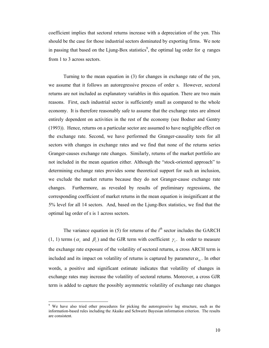coefficient implies that sectoral returns increase with a depreciation of the yen. This should be the case for those industrial sectors dominated by exporting firms. We note in passing that based on the Ljung-Box statistics<sup>9</sup>, the optimal lag order for  $q$  ranges from 1 to 3 across sectors.

Turning to the mean equation in (3) for changes in exchange rate of the yen, we assume that it follows an autoregressive process of order s. However, sectoral returns are not included as explanatory variables in this equation. There are two main reasons. First, each industrial sector is sufficiently small as compared to the whole economy. It is therefore reasonably safe to assume that the exchange rates are almost entirely dependent on activities in the rest of the economy (see Bodner and Gentry (1993)). Hence, returns on a particular sector are assumed to have negligible effect on the exchange rate. Second, we have performed the Granger-causality tests for all sectors with changes in exchange rates and we find that none of the returns series Granger-causes exchange rate changes. Similarly, returns of the market portfolio are not included in the mean equation either. Although the "stock-oriented approach" to determining exchange rates provides some theoretical support for such an inclusion, we exclude the market returns because they do not Granger-cause exchange rate changes. Furthermore, as revealed by results of preliminary regressions, the corresponding coefficient of market returns in the mean equation is insignificant at the 5% level for all 14 sectors. And, based on the Ljung-Box statistics, we find that the optimal lag order of *s* is 1 across sectors.

The variance equation in (5) for returns of the  $i<sup>th</sup>$  sector includes the GARCH (1, 1) terms ( $\alpha_i$  and  $\beta_i$ ) and the GJR term with coefficient  $\gamma_i$ . In order to measure the exchange rate exposure of the volatility of sectoral returns, a cross ARCH term is included and its impact on volatility of returns is captured by parameter  $\alpha_{i}$ . In other words, a positive and significant estimate indicates that volatility of changes in exchange rates may increase the volatility of sectoral returns. Moreover, a cross GJR term is added to capture the possibly asymmetric volatility of exchange rate changes

 $\overline{a}$ 

<sup>9</sup> We have also tried other procedures for picking the autoregressive lag structure, such as the information-based rules including the Akaike and Schwartz Bayesian information criterion. The results are consistent.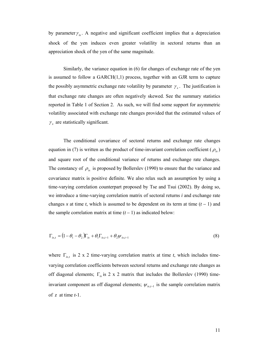by parameter  $\gamma_{ix}$ . A negative and significant coefficient implies that a depreciation shock of the yen induces even greater volatility in sectoral returns than an appreciation shock of the yen of the same magnitude.

Similarly, the variance equation in (6) for changes of exchange rate of the yen is assumed to follow a  $GARCH(1,1)$  process, together with an GJR term to capture the possibly asymmetric exchange rate volatility by parameter  $\gamma_x$ . The justification is that exchange rate changes are often negatively skewed. See the summary statistics reported in Table 1 of Section 2. As such, we will find some support for asymmetric volatility associated with exchange rate changes provided that the estimated values of  $\gamma_{x}$  are statistically significant.

The conditional covariance of sectoral returns and exchange rate changes equation in (7) is written as the product of time-invariant correlation coefficient ( $\rho_{ix}$ ) and square root of the conditional variance of returns and exchange rate changes. The constancy of  $\rho_{i\alpha}$  is proposed by Bollerslev (1990) to ensure that the variance and covariance matrix is positive definite. We also relax such an assumption by using a time-varying correlation counterpart proposed by Tse and Tsui (2002). By doing so, we introduce a time-varying correlation matrix of sectoral returns *i* and exchange rate changes *x* at time *t*, which is assumed to be dependent on its term at time  $(t - 1)$  and the sample correlation matrix at time  $(t - 1)$  as indicated below:

$$
\Gamma_{ix,t} = (1 - \theta_1 - \theta_2)\Gamma_{ix} + \theta_1\Gamma_{ix,t-1} + \theta_2\psi_{ix,t-1}
$$
\n
$$
(8)
$$

where  $\Gamma_{i x,t}$  is 2 x 2 time-varying correlation matrix at time *t*, which includes timevarying correlation coefficients between sectoral returns and exchange rate changes as off diagonal elements;  $\Gamma_{i}$  is 2 x 2 matrix that includes the Bollerslev (1990) timeinvariant component as off diagonal elements;  $\psi_{i x,t-1}$  is the sample correlation matrix of *z* at time *t*-1.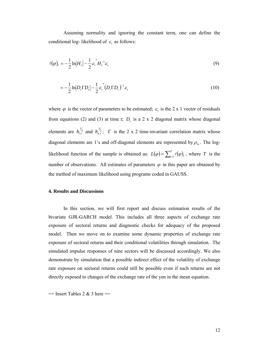Assuming normality and ignoring the constant term, one can define the conditional log- likelihood of  $\varepsilon$ <sub>*t*</sub> as follows:

$$
\ell(\varphi)_t = -\frac{1}{2}\ln|H_t| - \frac{1}{2}\varepsilon_t^{\prime} H_t^{-1}\varepsilon_t
$$
\n(9)

$$
= -\frac{1}{2} \ln |D_t \Gamma D_t| - \frac{1}{2} \varepsilon_t^{'} (D_t \Gamma D_t)^{-1} \varepsilon_t
$$
\n(10)

where  $\varphi$  is the vector of parameters to be estimated;  $\varepsilon$  is the 2 x 1 vector of residuals from equations (2) and (3) at time  $t$ ;  $D<sub>t</sub>$  is a 2 x 2 diagonal matrix whose diagonal elements are  $h_{i,t}^{\frac{1}{2}}$  and  $h_{x,t}^{\frac{1}{2}}$ ;  $\Gamma$  is the 2 x 2 time-invariant correlation matrix whose diagonal elements are 1's and off-diagonal elements are represented by  $\rho_{ix}$ . The loglikelihood function of the sample is obtained as:  $L(\varphi) = \sum_{i=1}^{T} \ell(\varphi)_i$ , where *T* is the number of observations. All estimates of parameters  $\varphi$  in this paper are obtained by the method of maximum likelihood using programs coded in GAUSS.

#### **4. Results and Discussions**

In this section, we will first report and discuss estimation results of the bivariate GJR-GARCH model. This includes all three aspects of exchange rate exposure of sectoral returns and diagnostic checks for adequacy of the proposed model. Then we move on to examine some dynamic properties of exchange rate exposure of sectoral returns and their conditional volatilities through simulation. The simulated impulse responses of nine sectors will be discussed accordingly. We also demonstrate by simulation that a possible indirect effect of the volatility of exchange rate exposure on sectoral returns could still be possible even if such returns are not directly exposed to changes of the exchange rate of the yen in the mean equation.

 $=$  Insert Tables 2 & 3 here  $=$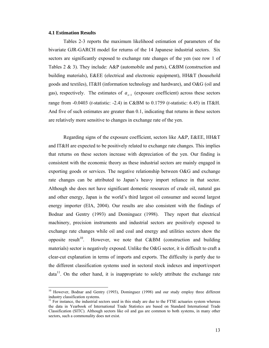#### **4.1 Estimation Results**

Tables 2-3 reports the maximum likelihood estimation of parameters of the bivariate GJR-GARCH model for returns of the 14 Japanese industrial sectors. Six sectors are significantly exposed to exchange rate changes of the yen (see row 1 of Tables 2 & 3). They include: A&P (automobile and parts), C&BM (construction and building materials), E&EE (electrical and electronic equipment), HH&T (household goods and textiles), IT&H (information technology and hardware), and O&G (oil and gas), respectively. The estimates of  $a_{r-1}$  (exposure coefficient) across these sectors range from -0.0403 (*t*-statistic: -2.4) in C&BM to 0.1759 (*t*-statistic: 6.45) in IT&H. And five of such estimates are greater than 0.1, indicating that returns in these sectors are relatively more sensitive to changes in exchange rate of the yen.

Regarding signs of the exposure coefficient, sectors like A&P, E&EE, HH&T and IT&H are expected to be positively related to exchange rate changes. This implies that returns on these sectors increase with depreciation of the yen. Our finding is consistent with the economic theory as these industrial sectors are mainly engaged in exporting goods or services. The negative relationship between O&G and exchange rate changes can be attributed to Japan's heavy import reliance in that sector. Although she does not have significant domestic resources of crude oil, natural gas and other energy, Japan is the world's third largest oil consumer and second largest energy importer (EIA, 2004). Our results are also consistent with the findings of Bodnar and Gentry (1993) and Dominguez (1998). They report that electrical machinery, precision instruments and industrial sectors are positively exposed to exchange rate changes while oil and coal and energy and utilities sectors show the opposite result<sup>10</sup>. However, we note that  $C&BM$  (construction and building materials) sector is negatively exposed. Unlike the O&G sector, it is difficult to craft a clear-cut explanation in terms of imports and exports. The difficulty is partly due to the different classification systems used in sectoral stock indexes and import/export  $data<sup>11</sup>$ . On the other hand, it is inappropriate to solely attribute the exchange rate

<sup>&</sup>lt;sup>10</sup> However, Bodnar and Gentry (1993), Dominguez (1998) and our study employ three different industry classification systems.

 $11$  For instance, the industrial sectors used in this study are due to the FTSE actuaries system whereas the data in Yearbook of International Trade Statistics are based on Standard International Trade Classification (SITC). Although sectors like oil and gas are common to both systems, in many other sectors, such a commonality does not exist.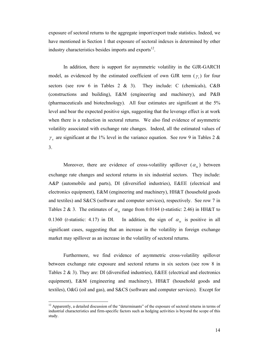exposure of sectoral returns to the aggregate import/export trade statistics. Indeed, we have mentioned in Section 1 that exposure of sectoral indexes is determined by other industry characteristics besides imports and exports $12$ .

In addition, there is support for asymmetric volatility in the GJR-GARCH model, as evidenced by the estimated coefficient of own GJR term  $(\gamma_i)$  for four sectors (see row 6 in Tables 2 & 3). They include: C (chemicals),  $C\&B$ (constructions and building), E&M (engineering and machinery), and P&B (pharmaceuticals and biotechnology). All four estimates are significant at the 5% level and bear the expected positive sign, suggesting that the leverage effect is at work when there is a reduction in sectoral returns. We also find evidence of asymmetric volatility associated with exchange rate changes. Indeed, all the estimated values of  $\gamma$  are significant at the 1% level in the variance equation. See row 9 in Tables 2 & 3.

Moreover, there are evidence of cross-volatility spillover  $(\alpha_{ix})$  between exchange rate changes and sectoral returns in six industrial sectors. They include: A&P (automobile and parts), DI (diversified industries), E&EE (electrical and electronics equipment), E&M (engineering and machinery), HH&T (household goods and textiles) and S&CS (software and computer services), respectively. See row 7 in Tables 2 & 3. The estimates of  $\alpha_{ix}$  range from 0.0164 (*t*-statistic: 2.46) in HH&T to 0.1360 (*t*-statistic: 4.17) in DI. In addition, the sign of  $\alpha_{i}$  is positive in all significant cases, suggesting that an increase in the volatility in foreign exchange market may spillover as an increase in the volatility of sectoral returns.

Furthermore, we find evidence of asymmetric cross-volatility spillover between exchange rate exposure and sectoral returns in six sectors (see row 8 in Tables 2 & 3). They are: DI (diversified industries), E&EE (electrical and electronics equipment), E&M (engineering and machinery), HH&T (household goods and textiles), O&G (oil and gas), and S&CS (software and computer services). Except for

 $\overline{a}$ 

 $12$  Apparently, a detailed discussion of the "determinants" of the exposure of sectoral returns in terms of industrial characteristics and firm-specific factors such as hedging activities is beyond the scope of this study.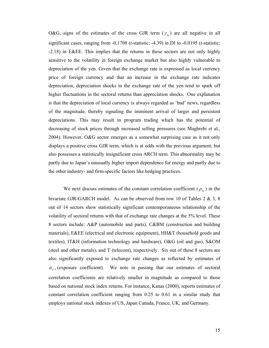O&G, signs of the estimates of the cross GJR term  $(\gamma_{i\alpha})$  are all negative in all significant cases, ranging from -0.1708 (*t*-statistic: -4.39) in DI to -0.0195 (*t*-statistic: -2.18) in E&EE. This implies that the returns in these sectors are not only highly sensitive to the volatility in foreign exchange market but also highly vulnerable to depreciation of the yen. Given that the exchange rate is expressed as local currency price of foreign currency and that an increase in the exchange rate indicates depreciation, depreciation shocks in the exchange rate of the yen tend to spark off higher fluctuations in the sectoral returns than appreciation shocks. One explanation is that the depreciation of local currency is always regarded as 'bad' news, regardless of the magnitude, thereby signaling the imminent arrival of larger and persistent depreciations. This may result in program trading which has the potential of decreasing of stock prices through increased selling pressures (see Maghrebi et al., 2004). However, O&G sector emerges as a somewhat surprising case as it not only displays a positive cross GJR term, which is at odds with the previous argument, but also possesses a statistically insignificant cross ARCH term. This abnormality may be partly due to Japan's unusually higher import dependence for energy and partly due to the other industry- and firm-specific factors like hedging practices.

We next discuss estimates of the constant correlation coefficient ( $\rho_{ix}$ ) in the bivariate GJR-GARCH model. As can be observed from row 10 of Tables 2 & 3, 8 out of 14 sectors show statistically significant contemporaneous relationship of the volatility of sectoral returns with that of exchange rate changes at the 5% level. These 8 sectors include: A&P (automobile and parts), C&BM (construction and building materials), E&EE (electrical and electronic equipment), HH&T (household goods and textiles), IT&H (information technology and hardware), O&G (oil and gas), S&OM (steel and other metals), and T (telecom), respectively. Six out of these 8 sectors are also significantly exposed to exchange rate changes as reflected by estimates of *a<sub>x−1</sub>* (exposure coefficient). We note in passing that our estimates of sectoral correlation coefficients are relatively smaller in magnitude as compared to those based on national stock index returns. For instance, Kanas (2000), reports estimates of constant correlation coefficient ranging from 0.25 to 0.61 in a similar study that employs national stock indexes of US, Japan Canada, France, UK, and Germany.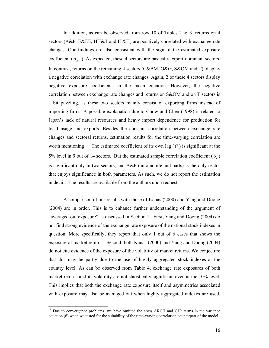In addition, as can be observed from row 10 of Tables  $2 \& 3$ , returns on 4 sectors (A&P, E&EE, HH&T and IT&H) are positively correlated with exchange rate changes. Our findings are also consistent with the sign of the estimated exposure coefficient ( $a_{x-1}$ ). As expected, these 4 sectors are basically export-dominant sectors. In contrast, returns on the remaining 4 sectors (C&BM, O&G, S&OM and T), display a negative correlation with exchange rate changes. Again, 2 of these 4 sectors display negative exposure coefficients in the mean equation. However, the negative correlation between exchange rate changes and returns on S&OM and on T sectors is a bit puzzling, as these two sectors mainly consist of exporting firms instead of importing firms. A possible explanation due to Chow and Chen (1998) is related to Japan's lack of natural resources and heavy import dependence for production for local usage and exports. Besides the constant correlation between exchange rate changes and sectoral returns, estimation results for the time-varying correlation are worth mentioning<sup>13</sup>. The estimated coefficient of its own lag ( $\theta$ <sub>1</sub>) is significant at the 5% level in 9 out of 14 sectors. But the estimated sample correlation coefficient  $(\theta_2)$ is significant only in two sectors, and A&P (automobile and parts) is the only sector that enjoys significance in both parameters. As such, we do not report the estimation in detail. The results are available from the authors upon request.

A comparison of our results with those of Kanas (2000) and Yang and Doong (2004) are in order. This is to enhance further understanding of the argument of "averaged-out exposure" as discussed in Section 1. First, Yang and Doong (2004) do not find strong evidence of the exchange rate exposure of the national stock indexes in question. More specifically, they report that only 1 out of 6 cases that shows the exposure of market returns. Second, both Kanas (2000) and Yang and Doong (2004) do not cite evidence of the exposure of the volatility of market returns. We conjecture that this may be partly due to the use of highly aggregated stock indexes at the country level. As can be observed from Table 4, exchange rate exposures of both market returns and its volatility are not statistically significant even at the 10% level. This implies that both the exchange rate exposure itself and asymmetries associated with exposure may also be averaged out when highly aggregated indexes are used.

 $\overline{a}$ 

<sup>&</sup>lt;sup>13</sup> Due to convergence problems, we have omitted the cross ARCH and GJR terms in the variance equation (6) when we tested for the suitability of the time-varying correlation counterpart of the model.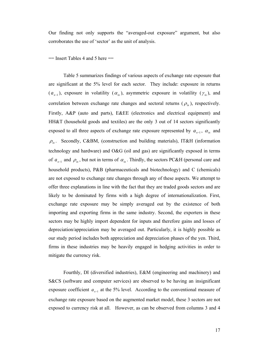Our finding not only supports the "averaged-out exposure" argument, but also corroborates the use of 'sector' as the unit of analysis.

 $=$  Insert Tables 4 and 5 here  $=$ 

Table 5 summarizes findings of various aspects of exchange rate exposure that are significant at the 5% level for each sector. They include: exposure in returns  $(a_{x-1})$ , exposure in volatility  $(a_{ix})$ , asymmetric exposure in volatility  $(\gamma_{ix})$ , and correlation between exchange rate changes and sectoral returns ( $\rho_{i\alpha}$ ), respectively. Firstly, A&P (auto and parts), E&EE (electronics and electrical equipment) and HH&T (household goods and textiles) are the only 3 out of 14 sectors significantly exposed to all three aspects of exchange rate exposure represented by  $a_{x-1}$ ,  $\alpha_{ix}$  and  $\rho_{ix}$ . Secondly, C&BM, (construction and building materials), IT&H (information technology and hardware) and O&G (oil and gas) are significantly exposed in terms of  $a_{x-1}$  and  $\rho_{ix}$ , but not in terms of  $\alpha_{ix}$ . Thirdly, the sectors PC&H (personal care and household products), P&B (pharmaceuticals and biotechnology) and C (chemicals) are not exposed to exchange rate changes through any of these aspects. We attempt to offer three explanations in line with the fact that they are traded goods sectors and are likely to be dominated by firms with a high degree of internationalization. First, exchange rate exposure may be simply averaged out by the existence of both importing and exporting firms in the same industry. Second, the exporters in these sectors may be highly import dependent for inputs and therefore gains and losses of depreciation/appreciation may be averaged out. Particularly, it is highly possible as our study period includes both appreciation and depreciation phases of the yen. Third, firms in these industries may be heavily engaged in hedging activities in order to mitigate the currency risk.

Fourthly, DI (diversified industries), E&M (engineering and machinery) and S&CS (software and computer services) are observed to be having an insignificant exposure coefficient *x*−<sup>1</sup> *a* at the 5% level. According to the conventional measure of exchange rate exposure based on the augmented market model, these 3 sectors are not exposed to currency risk at all. However, as can be observed from columns 3 and 4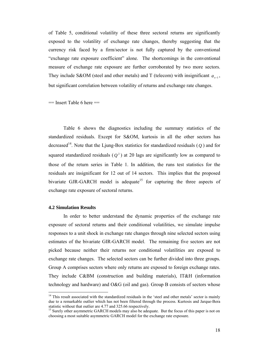of Table 5, conditional volatility of these three sectoral returns are significantly exposed to the volatility of exchange rate changes, thereby suggesting that the currency risk faced by a firm/sector is not fully captured by the conventional "exchange rate exposure coefficient" alone. The shortcomings in the conventional measure of exchange rate exposure are further corroborated by two more sectors. They include S&OM (steel and other metals) and T (telecom) with insignificant  $a_{r-1}$ , but significant correlation between volatility of returns and exchange rate changes.

 $==$  Insert Table 6 here  $==$ 

Table 6 shows the diagnostics including the summary statistics of the standardized residuals. Except for S&OM, kurtosis in all the other sectors has decreased<sup>14</sup>. Note that the Ljung-Box statistics for standardized residuals  $(Q)$  and for squared standardized residuals  $(Q^2)$  at 20 lags are significantly low as compared to those of the return series in Table 1. In addition, the runs test statistics for the residuals are insignificant for 12 out of 14 sectors. This implies that the proposed bivariate GJR-GARCH model is adequate<sup>15</sup> for capturing the three aspects of exchange rate exposure of sectoral returns.

#### **4.2 Simulation Results**

 $\overline{a}$ 

In order to better understand the dynamic properties of the exchange rate exposure of sectoral returns and their conditional volatilities, we simulate impulse responses to a unit shock in exchange rate changes through nine selected sectors using estimates of the bivariate GIR-GARCH model. The remaining five sectors are not picked because neither their returns nor conditional volatilities are exposed to exchange rate changes. The selected sectors can be further divided into three groups. Group A comprises sectors where only returns are exposed to foreign exchange rates. They include C&BM (construction and building materials), IT&H (information technology and hardware) and O&G (oil and gas). Group B consists of sectors whose

<sup>&</sup>lt;sup>14</sup> This result associated with the standardized residuals in the 'steel and other metals' sector is mainly due to a remarkable outlier which has not been filtered through the process. Kurtosis and Jarque-Bera statistic without that outlier are 4.77 and 325.66 respectively.

<sup>&</sup>lt;sup>15</sup> Surely other asymmetric GARCH models may also be adequate. But the focus of this paper is not on choosing a most suitable asymmetric GARCH model for the exchange rate exposure.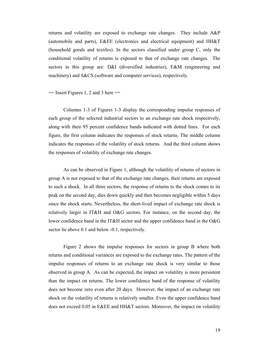returns and volatility are exposed to exchange rate changes. They include A&P (automobile and parts), E&EE (electronics and electrical equipment) and HH&T (household goods and textiles). In the sectors classified under group C, only the conditional volatility of returns is exposed to that of exchange rate changes. The sectors in this group are: D&I (diversified industries), E&M (engineering and machinery) and S&CS (software and computer services), respectively.

#### $=$  Insert Figures 1, 2 and 3 here  $=$

Columns 1-3 of Figures 1-3 display the corresponding impulse responses of each group of the selected industrial sectors to an exchange rate shock respectively, along with their 95 percent confidence bands indicated with dotted lines. For each figure, the first column indicates the responses of stock returns. The middle column indicates the responses of the volatility of stock returns. And the third column shows the responses of volatility of exchange rate changes.

As can be observed in Figure 1, although the volatility of returns of sectors in group A is not exposed to that of the exchange rate changes, their returns are exposed to such a shock. In all three sectors, the response of returns to the shock comes to its peak on the second day, dies down quickly and then becomes negligible within 5 days since the shock starts. Nevertheless, the short-lived impact of exchange rate shock is relatively larger in IT&H and O&G sectors. For instance, on the second day, the lower confidence band in the IT&H sector and the upper confidence band in the O&G sector lie above 0.1 and below -0.1, respectively.

Figure 2 shows the impulse responses for sectors in group B where both returns and conditional variances are exposed to the exchange rates. The pattern of the impulse responses of returns to an exchange rate shock is very similar to those observed in group A. As can be expected, the impact on volatility is more persistent than the impact on returns. The lower confidence band of the response of volatility does not become zero even after 20 days. However, the impact of an exchange rate shock on the volatility of returns is relatively smaller. Even the upper confidence band does not exceed 0.05 in E&EE and HH&T sectors. Moreover, the impact on volatility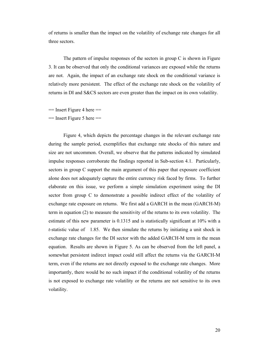of returns is smaller than the impact on the volatility of exchange rate changes for all three sectors.

The pattern of impulse responses of the sectors in group C is shown in Figure 3. It can be observed that only the conditional variances are exposed while the returns are not. Again, the impact of an exchange rate shock on the conditional variance is relatively more persistent. The effect of the exchange rate shock on the volatility of returns in DI and S&CS sectors are even greater than the impact on its own volatility.

 $=$  Insert Figure 4 here  $=$ 

 $=$  Insert Figure 5 here  $=$ 

Figure 4, which depicts the percentage changes in the relevant exchange rate during the sample period, exemplifies that exchange rate shocks of this nature and size are not uncommon. Overall, we observe that the patterns indicated by simulated impulse responses corroborate the findings reported in Sub-section 4.1. Particularly, sectors in group C support the main argument of this paper that exposure coefficient alone does not adequately capture the entire currency risk faced by firms. To further elaborate on this issue, we perform a simple simulation experiment using the DI sector from group C to demonstrate a possible indirect effect of the volatility of exchange rate exposure on returns. We first add a GARCH in the mean (GARCH-M) term in equation (2) to measure the sensitivity of the returns to its own volatility. The estimate of this new parameter is 0.1315 and is statistically significant at 10% with a *t*-statistic value of 1.85. We then simulate the returns by initiating a unit shock in exchange rate changes for the DI sector with the added GARCH-M term in the mean equation. Results are shown in Figure 5. As can be observed from the left panel, a somewhat persistent indirect impact could still affect the returns via the GARCH-M term, even if the returns are not directly exposed to the exchange rate changes. More importantly, there would be no such impact if the conditional volatility of the returns is not exposed to exchange rate volatility or the returns are not sensitive to its own volatility.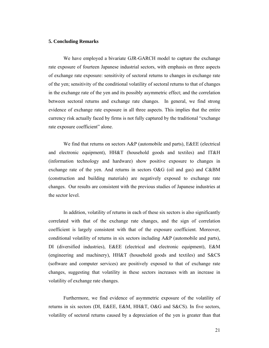#### **5. Concluding Remarks**

We have employed a bivariate GJR-GARCH model to capture the exchange rate exposure of fourteen Japanese industrial sectors, with emphasis on three aspects of exchange rate exposure: sensitivity of sectoral returns to changes in exchange rate of the yen; sensitivity of the conditional volatility of sectoral returns to that of changes in the exchange rate of the yen and its possibly asymmetric effect; and the correlation between sectoral returns and exchange rate changes. In general, we find strong evidence of exchange rate exposure in all three aspects. This implies that the entire currency risk actually faced by firms is not fully captured by the traditional "exchange rate exposure coefficient" alone.

We find that returns on sectors A&P (automobile and parts), E&EE (electrical and electronic equipment), HH&T (household goods and textiles) and IT&H (information technology and hardware) show positive exposure to changes in exchange rate of the yen. And returns in sectors O&G (oil and gas) and C&BM (construction and building materials) are negatively exposed to exchange rate changes. Our results are consistent with the previous studies of Japanese industries at the sector level.

In addition, volatility of returns in each of these six sectors is also significantly correlated with that of the exchange rate changes, and the sign of correlation coefficient is largely consistent with that of the exposure coefficient. Moreover, conditional volatility of returns in six sectors including A&P (automobile and parts), DI (diversified industries), E&EE (electrical and electronic equipment), E&M (engineering and machinery), HH&T (household goods and textiles) and S&CS (software and computer services) are positively exposed to that of exchange rate changes, suggesting that volatility in these sectors increases with an increase in volatility of exchange rate changes.

Furthermore, we find evidence of asymmetric exposure of the volatility of returns in six sectors (DI, E&EE, E&M, HH&T, O&G and S&CS). In five sectors, volatility of sectoral returns caused by a depreciation of the yen is greater than that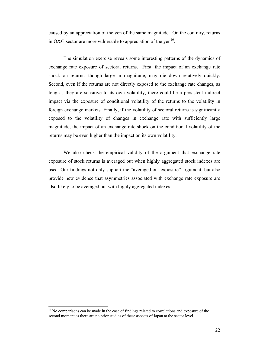caused by an appreciation of the yen of the same magnitude. On the contrary, returns in O&G sector are more vulnerable to appreciation of the yen<sup>16</sup>.

The simulation exercise reveals some interesting patterns of the dynamics of exchange rate exposure of sectoral returns. First, the impact of an exchange rate shock on returns, though large in magnitude, may die down relatively quickly. Second, even if the returns are not directly exposed to the exchange rate changes, as long as they are sensitive to its own volatility, there could be a persistent indirect impact via the exposure of conditional volatility of the returns to the volatility in foreign exchange markets. Finally, if the volatility of sectoral returns is significantly exposed to the volatility of changes in exchange rate with sufficiently large magnitude, the impact of an exchange rate shock on the conditional volatility of the returns may be even higher than the impact on its own volatility.

We also check the empirical validity of the argument that exchange rate exposure of stock returns is averaged out when highly aggregated stock indexes are used. Our findings not only support the "averaged-out exposure" argument, but also provide new evidence that asymmetries associated with exchange rate exposure are also likely to be averaged out with highly aggregated indexes.

 $\overline{a}$ 

<sup>&</sup>lt;sup>16</sup> No comparisons can be made in the case of findings related to correlations and exposure of the second moment as there are no prior studies of these aspects of Japan at the sector level.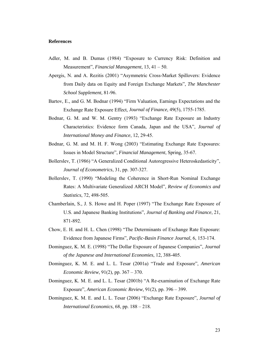#### **References**

- Adler, M. and B. Dumas (1984) "Exposure to Currency Risk: Definition and Measurement", *Financial Management*, 13, 41 – 50.
- Apergis, N. and A. Rezitis (2001) "Asymmetric Cross-Market Spillovers: Evidence from Daily data on Equity and Foreign Exchange Markets", *The Manchester School Supplement*, 81-96.
- Bartov, E., and G. M. Bodnar (1994) "Firm Valuation, Earnings Expectations and the Exchange Rate Exposure Effect, *Journal of Finance,* 49(5), 1755-1785.
- Bodnar, G. M. and W. M. Gentry (1993) "Exchange Rate Exposure an Industry Characteristics: Evidence form Canada, Japan and the USA", *Journal of International Money and Finance*, 12, 29-45.
- Bodnar, G. M. and M. H. F. Wong (2003) "Estimating Exchange Rate Exposures: Issues in Model Structure", *Financial Management*, Spring, 35-67.
- Bollerslev, T. (1986) "A Generalized Conditional Autoregressive Heteroskedasticity", *Journal of Econometrics*, 31, pp. 307-327.
- Bollerslev, T. (1990) "Modeling the Coherence in Short-Run Nominal Exchange Rates: A Multivariate Generalized ARCH Model", *Review of Economics and Statistics*, 72, 498-505.
- Chamberlain, S., J. S. Howe and H. Poper (1997) "The Exchange Rate Exposure of U.S. and Japanese Banking Institutions", *Journal of Banking and Finance*, 21, 871-892.
- Chow, E. H. and H. L. Chen (1998) "The Determinants of Exchange Rate Exposure: Evidence from Japanese Firms", *Pacific-Basin Finance Journal*, 6, 153-174.
- Dominguez, K. M. E. (1998) "The Dollar Exposure of Japanese Companies", *Journal of the Japanese and International Economies*, 12, 388-405.
- Dominguez, K. M. E. and L. L. Tesar (2001a) "Trade and Exposure", *American Economic Review*, 91(2), pp. 367 – 370.
- Dominguez, K. M. E. and L. L. Tesar (2001b) "A Re-examination of Exchange Rate Exposure", *American Economic Review,* 91(2), pp. 396 – 399.
- Dominguez, K. M. E. and L. L. Tesar (2006) "Exchange Rate Exposure", *Journal of International Economics*, 68, pp. 188 – 218.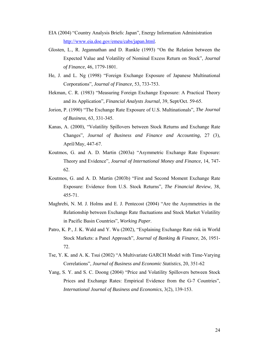- EIA (2004) "Country Analysis Briefs: Japan", Energy Information Administration http://www.eia.doe.gov/emeu/cabs/japan.html.
- Glosten, L., R. Jegannathan and D. Runkle (1993) "On the Relation between the Expected Value and Volatility of Nominal Excess Return on Stock", *Journal of Finance*, 46, 1779-1801.
- He, J. and L. Ng (1998) "Foreign Exchange Exposure of Japanese Multinational Corporations", *Journal of Finance*, 53, 733-753.
- Hekman, C. R. (1983) "Measuring Foreign Exchange Exposure: A Practical Theory and its Application", *Financial Analysts Journal*, 39, Sept/Oct. 59-65.
- Jorion, P. (1990) "The Exchange Rate Exposure of U.S. Multinationals", *The Journal of Business*, 63, 331-345.
- Kanas, A. (2000), "Volatility Spillovers between Stock Returns and Exchange Rate Changes", *Journal of Business and Finance and Accounting*, 27 (3), April/May, 447-67.
- Koutmos, G. and A. D. Martin (2003a) "Asymmetric Exchange Rate Exposure: Theory and Evidence", *Journal of International Money and Finance*, 14, 747- 62.
- Koutmos, G. and A. D. Martin (2003b) "First and Second Moment Exchange Rate Exposure: Evidence from U.S. Stock Returns", *The Financial Review*, 38, 455-71.
- Maghrebi, N. M. J. Holms and E. J. Pentecost (2004) "Are the Asymmetries in the Relationship between Exchange Rate fluctuations and Stock Market Volatility in Pacific Basin Countries", *Working Paper*.
- Patro, K. P., J. K. Wald and Y. Wu (2002), "Explaining Exchange Rate risk in World Stock Markets: a Panel Approach", *Journal of Banking & Finance*, 26, 1951- 72.
- Tse, Y. K. and A. K. Tsui (2002) "A Multivariate GARCH Model with Time-Varying Correlations", *Journal of Business and Economic Statistics*, 20, 351-62
- Yang, S. Y. and S. C. Doong (2004) "Price and Volatility Spillovers between Stock Prices and Exchange Rates: Empirical Evidence from the G-7 Countries", *International Journal of Business and Economics*, 3(2), 139-153.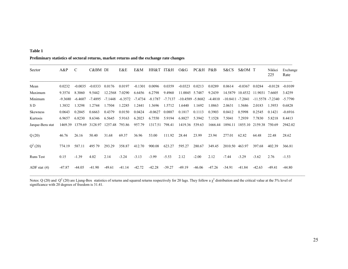#### **Table 1**

#### **Preliminary statistics of sectoral returns, market returns and the exchange rate changes**

| Sector           | $A\&P$    | С         | C&BM DI   |          | E&E       | E&M       | HH&T           | IT&H      | O&G                 | PC&H     | P&B      | S&CS                | S&OM T    |                     | Nikkei<br>225 | Exchange<br>Rate |
|------------------|-----------|-----------|-----------|----------|-----------|-----------|----------------|-----------|---------------------|----------|----------|---------------------|-----------|---------------------|---------------|------------------|
| Mean             | 0.0232    | $-0.0035$ | $-0.0333$ | 0.0176   | 0.0197    | $-0.1301$ | 0.0096         | 0.0359    | $-0.0323$           | 0.0213   | 0.0289   | 0.0614              | $-0.0367$ | 0.0284              | $-0.0128$     | $-0.0109$        |
| Maximum          | 9.3574    | 8.3060    | 9.5442    | 12.2568  | 7.0290    | 6.6456    | 6.2798         | 9.4960    | 11.0045 5.7487      |          | 9.2439   | 14.5879             | 10.4532   | 11.9031             | 7.6605        | 3.4259           |
| Minimum          | $-9.3680$ | $-6.4607$ | $-7.4895$ | -7.1448  | $-6.3572$ | -7.4734   | -8.1787        | $-7.7137$ | $-10.4589 - 5.8682$ |          | -4.4810  | $-10.8411 - 7.2041$ |           | $-11.5578 - 7.2340$ |               | $-5.7790$        |
| S D              | 1.3832    | 1.3298    | 1.2744    | 1.7504   | 1.2285    | 1.2441    | 1.3696         | 1.5712    | 1.6440              | 1.1692   | 1.0863   | 2.0631              | 1.5686    | 2.0183              | 1.3953        | 0.6828           |
| Skewness         | 0.0643    | 0.2045    | 0.6663    | 0.4379   | 0.0150    | 0.0424    | $-0.0627$      | 0.0887    | 0.1817              | 0.1113   | 0.3903   | 0.0412              | 0.5998    | 0.2545              | 0.1421        | $-0.6916$        |
| Kurtosis         | 6.9657    | 6.8230    | 8.6346    | 6.5645   | 5.9163    | 6.2023    | 6.7550         | 5.9194    | 6.8827              | 5.3942   | 7.1528   | 7.5041              | 7.2939    | 7.7830              | 5.8218        | 8.4413           |
| Jarque-Bera stat | 1469.39   | 1379.69   | 3128.97   | 1257.48  | 793.86    | 957.79    | 1317.51 798.41 |           | 1419.36 539.63      |          |          | 1666.44 1894.11     |           | 1855.10 2159.38     | 750.69        | 2942.02          |
| Q(20)            | 46.76     | 26.16     | 50.40     | 31.68    | 69.37     | 36.96     | 53.00          | 111.92    | 28.44               | 23.99    | 23.94    | 277.01              | 62.82     | 64.48               | 22.48         | 28.62            |
| $Q^2(20)$        | 774.19    | 587.11    | 495 79    | 293.29   | 358.87    | 412.70    | 900.08         | 623.27    | 595.27              | 280.67   | 349.45   | 2010.50             | 463.97    | 397.68              | 402.39        | 366.81           |
| Runs Test        | 0.15      | $-1.39$   | 4.02      | 2.14     | $-3.24$   | $-3.13$   | $-3.99$        | $-5.53$   | 2.12                | $-2.00$  | 2.12     | $-7.44$             | $-3.29$   | $-3.62$             | 2.76          | $-1.53$          |
| ADF stat $(4)$   | $-47.87$  | $-44.05$  | $-41.90$  | $-49.61$ | $-41.14$  | $-42.72$  | $-42.28$       | $-39.27$  | $-49.19$            | $-46.06$ | $-47.26$ | $-34.91$            | $-41.84$  | $-42.63$            | $-49.41$      | $-44.80$         |

Notes: Q (20) and Q<sup>2</sup> (20) are Ljung-Box statistics of returns and squared returns respectively for 20 lags. They follow a  $\chi^2$  distribution and the critical value at the 5% level of significance with 20 degrees of freedom is 31.41.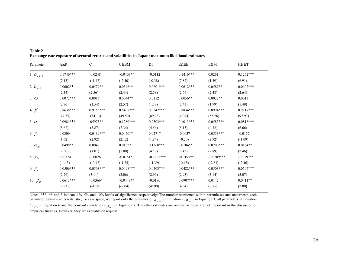| Parameter        | A&P         | $\mathcal{C}$ | C&BM        | DI           | <b>E&amp;EE</b> | E&M          | HH&T        |
|------------------|-------------|---------------|-------------|--------------|-----------------|--------------|-------------|
| 1. $a_{x,t-1}$   | $0.1746***$ | $-0.0248$     | $-0.0403**$ | $-0.0112$    | $0.1416***$     | 0.0261       | $0.1262***$ |
|                  | (7.13)      | $(-1.47)$     | $(-2.40)$   | $(-0.38)$    | (7.87)          | (1.39)       | (6.91)      |
| 2. $b_{x-1}$     | $0.0602**$  | $0.0579**$    | $0.0546**$  | $0.0601***$  | $0.0612***$     | $0.0587**$   | $0.0602***$ |
|                  | (2.34)      | (2.56)        | (2.44)      | (2.58)       | (2.66)          | (2.48)       | (2.64)      |
| 3. $\omega_i$    | $0.0072***$ | 0.0016        | $0.0044**$  | 0.0112       | $0.0056**$      | $0.0022**$   | 0.0013      |
|                  | (2.70)      | (1.54)        | (2.57)      | (1.18)       | (2.43)          | (1.99)       | (1.49)      |
| 4. $\beta_i$     | $0.8638***$ | $0.9155***$   | $0.8498***$ | $0.9247***$  | $0.8834***$     | $0.8994***$  | $0.9217***$ |
|                  | (47.35)     | (54.13)       | (49.59)     | (89.23)      | (43.94)         | (55.26)      | (97.97)     |
| 5. $\alpha_i$    | $0.0984***$ | $.0592***$    | $0.1280***$ | $0.0503***$  | $0.1013***$     | $0.0583***$  | $0.0818***$ |
|                  | (5.62)      | (3.87)        | (7.34)      | (4.56)       | (5.15)          | (4.32)       | (6.66)      |
| 6. $\gamma_i$    | 0.0309      | $0.0439***$   | $0.0470**$  | $0.0271*$    | $-0.0037$       | $0.0553***$  | $-0.0157$   |
|                  | (1.62)      | (2.92)        | (2.12)      | (1.84)       | $(-0.20)$       | (2.92)       | $(-1.09)$   |
| 7. $\alpha_{ix}$ | $0.0498**$  | 0.0047        | $0.0162*$   | $0.1360***$  | $0.0184**$      | $0.0200***$  | $0.0164**$  |
|                  | (2.50)      | (1.01)        | (1.80)      | (4.17)       | (2.43)          | (2.89)       | (2.46)      |
| 8. $\gamma_{ix}$ | $-0.0324$   | $-0.0026$     | $-0.0181*$  | $-0.1708***$ | $-0.0195**$     | $-0.0209***$ | $-0.0197**$ |
|                  | $(-1.43)$   | $(-0.47)$     | $(-1.75)$   | $(-4.39)$    | $(-2.18)$       | $(-2.81)$    | $(-2.46)$   |
| 9. $\gamma_x$    | $0.0506***$ | $0.0503***$   | $0.0498***$ | $0.0503***$  | $0.0482***$     | $0.0503***$  | $0.0507***$ |
|                  | (2.76)      | (3.11)        | (3.06)      | (2.96)       | (2.93)          | (3.14)       | (3.07)      |
| 10. $\rho_{ix}$  | $0.0613***$ | $-0.0366*$    | $-0.0448**$ | $-0.0180$    | $0.0907***$     | 0.0142       | $0.0411**$  |
|                  | (2.93)      | $(-1.69)$     | $(-2.04)$   | $(-0.90)$    | (4.34)          | (0.75)       | (2.00)      |

**Table 2 Exchange rate exposure of sectoral returns and volatilities in Japan: maximum likelihood estimates** 

Notes: \*\*\* \*\* and \* indicate 1%, 5% and 10% levels of significance respectively; The number mentioned within parentheses and underneath each parameter estimate is its *t*-statistic; To save space, we report only the estimates of *a*<sub>x-1</sub> in Equation 2, *b*<sub>x-1</sub> in Equation 3, all parameters in Equation 5,  $\gamma_{\chi}$  in Equation 6 and the constant correlation ( $\rho_{\mu}$ ) in Equation 7. The other estimates are omitted as those are not important in the discussion of empirical findings. However, they are available on request.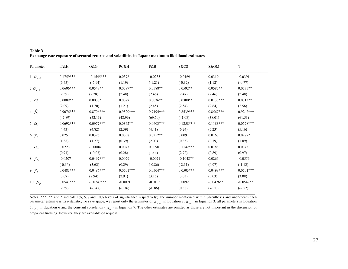| Parameter        | IT&H        | O&G          | PC&H        | P&B         | S&CS        | S&OM        | $\mathbf T$ |
|------------------|-------------|--------------|-------------|-------------|-------------|-------------|-------------|
| 1. $a_{x-1}$     | $0.1759***$ | $-0.1545***$ | 0.0378      | $-0.0235$   | $-0.0169$   | 0.0319      | $-0.0391$   |
|                  | (6.45)      | $(-5.94)$    | (1.19)      | $(-1.21)$   | $(-0.32)$   | (1.12)      | $(-0.77)$   |
| 2. $b_{x-1}$     | $0.0606***$ | $0.0548**$   | $0.0587**$  | $0.0588**$  | $0.0592**$  | $0.0585**$  | $0.0575**$  |
|                  | (2.59)      | (2.28)       | (2.48)      | (2.46)      | (2.47)      | (2.46)      | (2.48)      |
| 3. $\omega_i$    | $0.0089**$  | $0.0038*$    | 0.0077      | $0.0036**$  | $0.0300**$  | $0.0133***$ | $0.0313**$  |
|                  | (2.09)      | (1.70)       | (1.21)      | (2.45)      | (2.54)      | (2.64)      | (2.56)      |
| 4. $\beta_i$     | $0.9076***$ | $0.8796***$  | $0.9520***$ | $0.9194***$ | $0.8539***$ | $0.8567***$ | $0.9242***$ |
|                  | (42.89)     | (52.13)      | (48.96)     | (69.50)     | (41.08)     | (38.01)     | (61.53)     |
| 5. $\alpha_i$    | $0.0692***$ | $0.0977***$  | $0.0342**$  | $0.0603***$ | $0.1258**$  | $0.1183***$ | $0.0528***$ |
|                  | (4.43)      | (4.82)       | (2.39)      | (4.41)      | (6.24)      | (5.23)      | (5.16)      |
| 6. $\gamma_i$    | 0.0251      | 0.0326       | 0.0038      | $0.0252**$  | 0.0091      | 0.0168      | $0.0277*$   |
|                  | (1.38)      | (1.27)       | (0.39)      | (2.00)      | (0.35)      | (0.79)      | (1.89)      |
| 7. $\alpha_{ix}$ | 0.0223      | $-0.0004$    | 0.0043      | 0.0090      | $0.1142***$ | 0.0188      | 0.0343      |
|                  | (0.91)      | $(-0.03)$    | (0.28)      | (1.44)      | (2.72)      | (0.89)      | (0.97)      |
| 8. $\gamma_{ix}$ | $-0.0207$   | $0.0497***$  | 0.0079      | $-0.0071$   | $-0.1048**$ | 0.0266      | $-0.0556$   |
|                  | $(-0.66)$   | (3.62)       | (0.29)      | $(-0.86)$   | $(-2.11)$   | (0.97)      | $(-1.12)$   |
| 9. $\gamma_x$    | $0.0483***$ | $0.0486***$  | $0.0501***$ | $0.0504***$ | $0.0503***$ | $0.0498***$ | $0.0501***$ |
|                  | (3.07)      | (2.94)       | (2.91)      | (3.15)      | (3.03)      | (3.03)      | (3.08)      |
| 10. $\rho_{ix}$  | $0.0547***$ | $-0.0747***$ | $-0.0091$   | $-0.0195$   | 0.0092      | $-0.0476**$ | $-0.0547**$ |
|                  | (2.59)      | $(-3.47)$    | $(-0.36)$   | $(-0.86)$   | (0.38)      | $(-2.30)$   | $(-2.52)$   |

**Table 3 Exchange rate exposure of sectoral returns and volatilities in Japan: maximum likelihood estimates** 

Notes: \*\*\* \*\* and \* indicate 1%, 5% and 10% levels of significance respectively; The number mentioned within parentheses and underneath each parameter estimate is its *t*-statistic; To save space, we report only the estimates of *a*<sub>*x*-1</sub> in Equation 2, *b*<sub>*x*-1</sub> in Equation 3, all parameters in Equation 5,  $\gamma_{\chi}$  in Equation 6 and the constant correlation ( $\rho_{\mu}$ ) in Equation 7. The other estimates are omitted as those are not important in the discussion of empirical findings. However, they are available on request.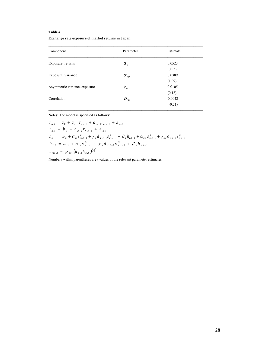### **Table 4**

#### **Exchange rate exposure of market returns in Japan**

| Component                    | Parameter     | Estimate  |
|------------------------------|---------------|-----------|
| Exposure: returns            | $a_{x-1}$     | 0.0523    |
|                              |               | (0.93)    |
| Exposure: variance           | $\alpha_{mx}$ | 0.0389    |
|                              |               | (1.09)    |
| Asymmetric variance exposure | $\gamma_{mx}$ | 0.0105    |
|                              |               | (0.18)    |
| Correlation                  | $\rho_{mx}$   | $-0.0042$ |
|                              |               | $(-0.21)$ |

Notes: The model is specified as follows:

$$
r_{m,t} = a_0 + a_{x-1}r_{x,t-1} + a_{m-1}r_{m,t-1} + \varepsilon_{m,t}
$$
  
\n
$$
r_{x,t} = b_0 + b_{x-1}r_{x,t-1} + \varepsilon_{x,t}
$$
  
\n
$$
h_{m,t} = \omega_m + \alpha_m \varepsilon_{m,t-1}^2 + \gamma_m d_{m,t-1} \varepsilon_{m,t-1}^2 + \beta_m h_{i,t-1} + \alpha_{mx} \varepsilon_{x,t-1}^2 + \gamma_{mx} d_{x,t-1} \varepsilon_{x,t-1}^2
$$
  
\n
$$
h_{x,t} = \omega_x + \alpha_x \varepsilon_{x,t-1}^2 + \gamma_x d_{x,t-1} \varepsilon_{x,t-1}^2 + \beta_x h_{x,t-1}
$$
  
\n
$$
h_{mx,t} = \rho_{mx} (h_{m,t} h_{x,t})^{\frac{t}{2}}
$$

Numbers within parentheses are t values of the relevant parameter estimates.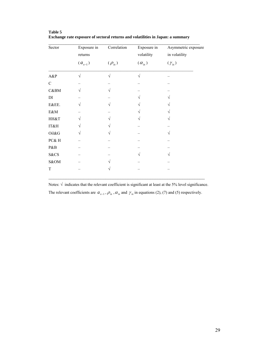| Sector     | Exposure in<br>returns | Correlation   | Exposure in<br>volatility | Asymmetric exposure<br>in volatility |  |  |  |
|------------|------------------------|---------------|---------------------------|--------------------------------------|--|--|--|
|            | $(a_{x-1})$            | $(\rho_{ix})$ | $(\alpha_{ix})$           | $(\gamma_{ix})$                      |  |  |  |
| $A\&P$     | $\sqrt{}$              | $\sqrt{}$     | $\sqrt{}$                 |                                      |  |  |  |
| ${\bf C}$  |                        |               |                           |                                      |  |  |  |
| C&BM       |                        | V             |                           |                                      |  |  |  |
| DI         |                        |               |                           |                                      |  |  |  |
| E&EE.      |                        |               |                           |                                      |  |  |  |
| $E\&M$     |                        |               |                           |                                      |  |  |  |
| HH&T       | $\sqrt{}$              |               | V                         | V                                    |  |  |  |
| IT&H       | $\sqrt{ }$             |               |                           |                                      |  |  |  |
| Oil&G      | V                      |               |                           | V                                    |  |  |  |
| $PC\&\,$ H |                        |               |                           |                                      |  |  |  |
| P&B        |                        |               |                           |                                      |  |  |  |
| S&CS       |                        |               |                           |                                      |  |  |  |
| S&OM       |                        |               |                           |                                      |  |  |  |
| T          |                        | V             |                           |                                      |  |  |  |

**Table 5 Exchange rate exposure of sectoral returns and volatilities in Japan: a summary**

Notes:  $\sqrt{\ }$  indicates that the relevant coefficient is significant at least at the 5% level significance. The relevant coefficients are  $a_{x-1}$ ,  $\rho_{ix}$ ,  $\alpha_{ix}$  and  $\gamma_{ix}$  in equations (2), (7) and (5) respectively.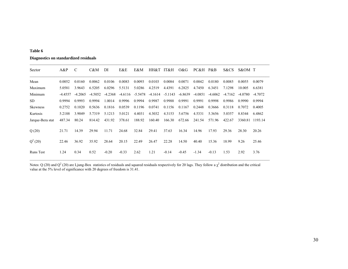#### **Table 6**

#### **Diagnostics on standardized residuals**

| Sector           | $A\&P$    | C         | C&M       | DI        | E&E     | E&M                | HH&T   | IT&H                | O&G       | PC&H      | $P\&B$    | S&CS      | S&OM T  |           |
|------------------|-----------|-----------|-----------|-----------|---------|--------------------|--------|---------------------|-----------|-----------|-----------|-----------|---------|-----------|
| Mean             | 0.0052    | 0.0160    | 0.0062    | 0.0106    | 0.0083  | 0.0093             | 0.0103 | 0.0084              | 0.0071    | 0.0042    | 0.0180    | 0.0085    | 0.0055  | 0.0079    |
| Maximum          | 5.0581    | 3.9643    | 6.5205    | 6.0296    | 5.5131  | 5.0286             | 4.2519 | 4.4391              | 6.2825    | 4.7450    | 6.3451    | 7.1298    | 10.005  | 6.6381    |
| Minimum          | $-4.4557$ | $-4.2065$ | $-4.5052$ | $-4.2368$ |         | $-4.6116 - 5.5478$ |        | $-4.1614$ $-5.1143$ | $-6.8639$ | $-4.0851$ | $-4.6062$ | $-4.7162$ | -4.0780 | $-4.7072$ |
| <b>SD</b>        | 0.9994    | 0.9993    | 0.9994    | 1.0014    | 0.9996  | 0.9994             | 0.9987 | 0.9988              | 0.9991    | 0.9991    | 0.9998    | 0.9986    | 0.9990  | 0.9994    |
| <b>Skewness</b>  | 0.2752    | 0.1020    | 0.5636    | 0.1816    | 0.0539  | 0.1196             | 0.0741 | 0.1156              | 0.1167    | 0.2448    | 0.3666    | 0.3118    | 0.7072  | 0.4005    |
| Kurtosis         | 5.2188    | 3.9049    | 5.7319    | 5.1213    | 5.0121  | 4.4031             | 4.3032 | 4.3153              | 5.6756    | 4.5331    | 5.3656    | 5.0357    | 8.8344  | 6.4862    |
| Jarque-Bera stat | 487.34    | 80.24     | 814.42    | 431.92    | 378.61  | 188.92             | 160.40 | 166.30              | 672.66    | 241.54    | 571.96    | 422.67    | 3360.81 | 1193.14   |
| Q(20)            | 21.71     | 14.39     | 29.94     | 11.71     | 24.68   | 32.84              | 29.41  | 37.63               | 16.34     | 14.96     | 17.93     | 29.36     | 28.30   | 20.26     |
| $Q^2(20)$        | 22.46     | 36.92     | 35.92     | 28.64     | 20.15   | 22.49              | 26.47  | 22.28               | 14.50     | 40.40     | 15.36     | 18.99     | 9.26    | 25.46     |
| <b>Runs</b> Test | 1.24      | 0.34      | 0.52      | $-0.20$   | $-0.33$ | 2.62               | 1.21   | $-0.14$             | $-0.45$   | $-1.34$   | $-0.13$   | 1.53      | 2.92    | 3.76      |

 $\mathcal{L}_\mathcal{L} = \mathcal{L}_\mathcal{L} = \mathcal{L}_\mathcal{L} = \mathcal{L}_\mathcal{L} = \mathcal{L}_\mathcal{L} = \mathcal{L}_\mathcal{L} = \mathcal{L}_\mathcal{L} = \mathcal{L}_\mathcal{L} = \mathcal{L}_\mathcal{L} = \mathcal{L}_\mathcal{L} = \mathcal{L}_\mathcal{L} = \mathcal{L}_\mathcal{L} = \mathcal{L}_\mathcal{L} = \mathcal{L}_\mathcal{L} = \mathcal{L}_\mathcal{L} = \mathcal{L}_\mathcal{L} = \mathcal{L}_\mathcal{L}$ 

Notes: Q (20) and Q<sup>2</sup> (20) are Ljung-Box statistics of residuals and squared residuals respectively for 20 lags. They follow a  $\chi^2$  distribution and the critical value at the 5% level of significance with 20 degrees of freedom is 31.41.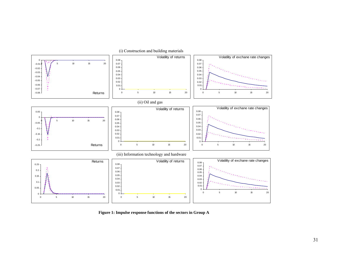

 **Figure 1: Impulse response functions of the sectors in Group A**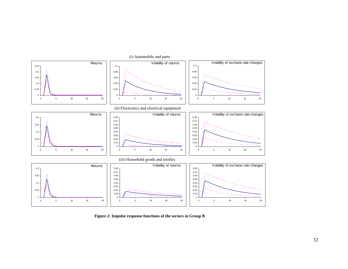

 **Figure 2: Impulse response functions of the sectors in Group B**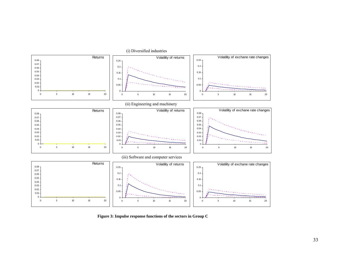

 **Figure 3: Impulse response functions of the sectors in Group C**